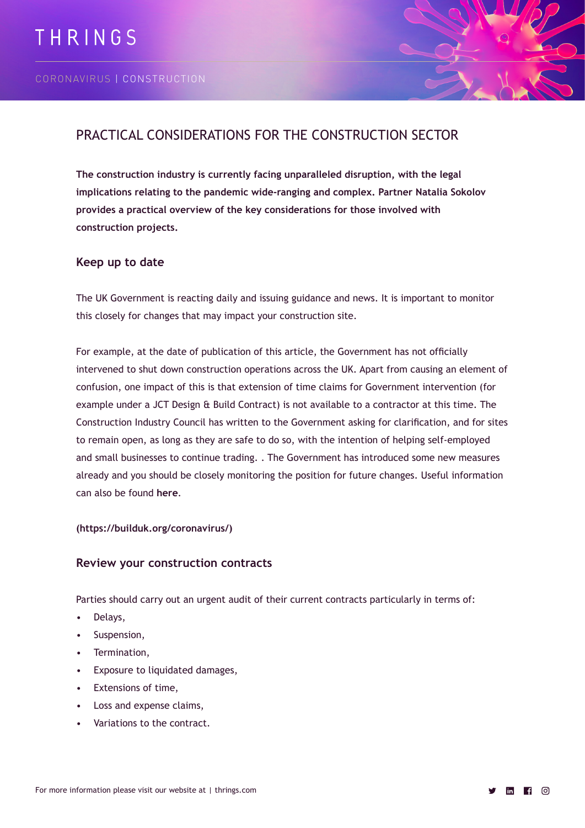

# PRACTICAL CONSIDERATIONS FOR THE CONSTRUCTION SECTOR

**The construction industry is currently facing unparalleled disruption, with the legal implications relating to the pandemic wide-ranging and complex. Partner Natalia Sokolov provides a practical overview of the key considerations for those involved with construction projects.**

# **Keep up to date**

The UK Government is reacting daily and issuing guidance and news. It is important to monitor this closely for changes that may impact your construction site.

For example, at the date of publication of this article, the Government has not officially intervened to shut down construction operations across the UK. Apart from causing an element of confusion, one impact of this is that extension of time claims for Government intervention (for example under a JCT Design & Build Contract) is not available to a contractor at this time. The Construction Industry Council has written to the Government asking for clarification, and for sites to remain open, as long as they are safe to do so, with the intention of helping self-employed and small businesses to continue trading. . The Government has introduced some new measures already and you should be closely monitoring the position for future changes. Useful information can also be found **[here](https://builduk.org/coronavirus/)**.

#### **(https://builduk.org/coronavirus/)**

## **Review your construction contracts**

Parties should carry out an urgent audit of their current contracts particularly in terms of:

- Delays,
- Suspension,
- Termination,
- Exposure to liquidated damages,
- Extensions of time,
- Loss and expense claims,
- Variations to the contract.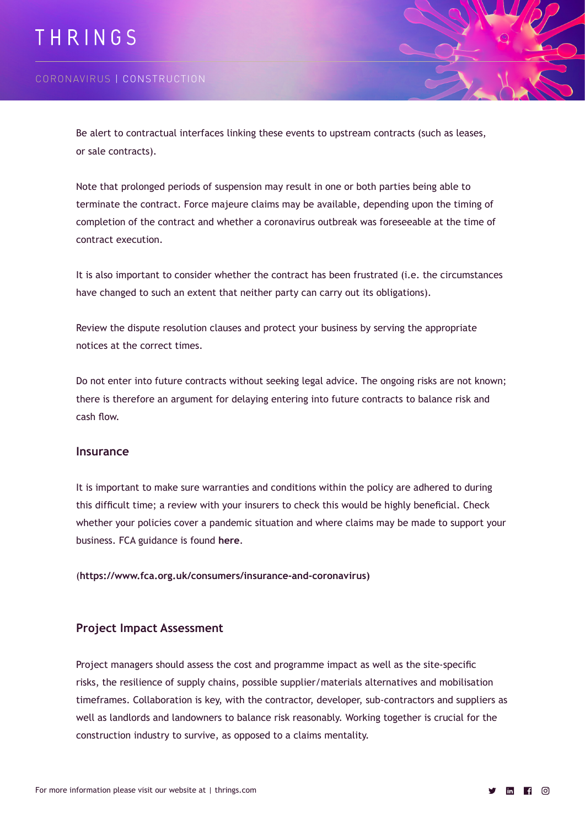# THRINGS

# CORONAVIRUS | CONSTRUCTION

Be alert to contractual interfaces linking these events to upstream contracts (such as leases, or sale contracts).

Note that prolonged periods of suspension may result in one or both parties being able to terminate the contract. Force majeure claims may be available, depending upon the timing of completion of the contract and whether a coronavirus outbreak was foreseeable at the time of contract execution.

It is also important to consider whether the contract has been frustrated (i.e. the circumstances have changed to such an extent that neither party can carry out its obligations).

Review the dispute resolution clauses and protect your business by serving the appropriate notices at the correct times.

Do not enter into future contracts without seeking legal advice. The ongoing risks are not known; there is therefore an argument for delaying entering into future contracts to balance risk and cash flow.

#### **Insurance**

It is important to make sure warranties and conditions within the policy are adhered to during this difficult time; a review with your insurers to check this would be highly beneficial. Check whether your policies cover a pandemic situation and where claims may be made to support your business. FCA guidance is found **[here](https://www.fca.org.uk/consumers/insurance-and-coronavirus)**.

(**https://www.fca.org.uk/consumers/insurance-and-coronavirus)**

#### **Project Impact Assessment**

Project managers should assess the cost and programme impact as well as the site-specific risks, the resilience of supply chains, possible supplier/materials alternatives and mobilisation timeframes. Collaboration is key, with the contractor, developer, sub-contractors and suppliers as well as landlords and landowners to balance risk reasonably. Working together is crucial for the construction industry to survive, as opposed to a claims mentality.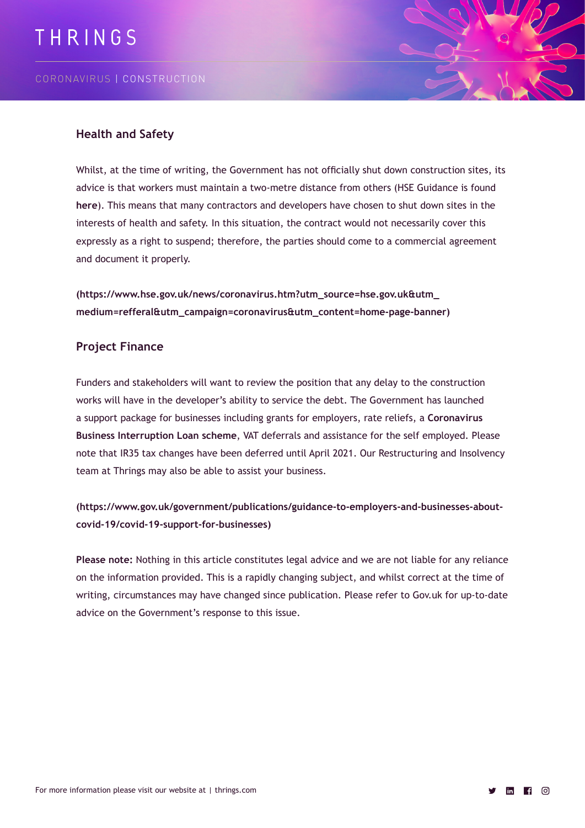

## **Health and Safety**

Whilst, at the time of writing, the Government has not officially shut down construction sites, its advice is that workers must maintain a two-metre distance from others (HSE Guidance is found **[here](https://www.hse.gov.uk/news/coronavirus.htm?utm_source=hse.gov.uk&utm_medium=refferal&utm_campaign=coronavirus&utm_content=home-page-banner)**). This means that many contractors and developers have chosen to shut down sites in the interests of health and safety. In this situation, the contract would not necessarily cover this expressly as a right to suspend; therefore, the parties should come to a commercial agreement and document it properly.

**(https://www.hse.gov.uk/news/coronavirus.htm?utm\_source=hse.gov.uk&utm\_ medium=refferal&utm\_campaign=coronavirus&utm\_content=home-page-banner)**

## **Project Finance**

Funders and stakeholders will want to review the position that any delay to the construction works will have in the developer's ability to service the debt. The Government has launched a support package for businesses including grants for employers, rate reliefs, a **[Coronavirus](https://www.gov.uk/government/publications/guidance-to-employers-and-businesses-about-covid-19/covid-19-support-for-businesses)  [Business Interruption Loan scheme](https://www.gov.uk/government/publications/guidance-to-employers-and-businesses-about-covid-19/covid-19-support-for-businesses)**, VAT deferrals and assistance for the self employed. Please note that IR35 tax changes have been deferred until April 2021. Our Restructuring and Insolvency team at Thrings may also be able to assist your business.

**(https://www.gov.uk/government/publications/guidance-to-employers-and-businesses-aboutcovid-19/covid-19-support-for-businesses)**

**Please note:** Nothing in this article constitutes legal advice and we are not liable for any reliance on the information provided. This is a rapidly changing subject, and whilst correct at the time of writing, circumstances may have changed since publication. Please refer to Gov.uk for up-to-date advice on the Government's response to this issue.